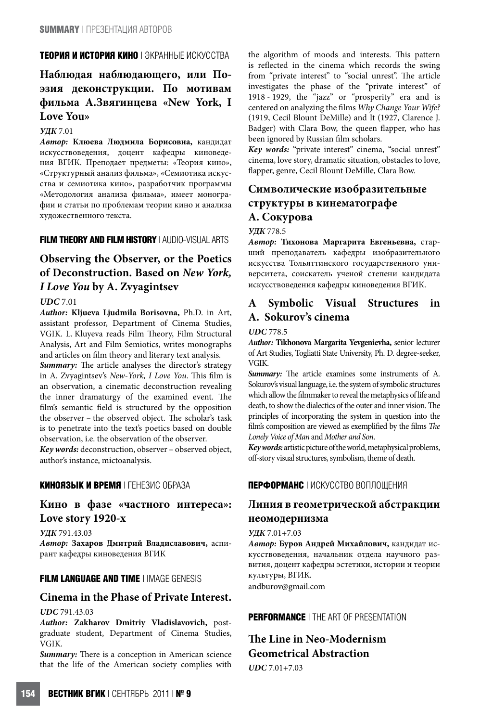## **ТЕОРИЯ И ИСТОРИЯ КИНО** | ЭКРАННЫЕ ИСКУССТВА

# **Наблюдая наблюдающего, или Поэзия деконструкции. По мотивам фильма А.Звягинцева «New York, I Love You»**

### **УДК** 7.01

**Автор: Клюева Людмила Борисовна,** кандидат искусствоведения, доцент кафедры киноведения ВГИК. Преподает предметы: «Теория кино», «Структурный анализ фильма», «Семиотика искусства и семиотика кино», разработчик программы «Методология анализа фильма», имеет монографии и статьи по проблемам теории кино и анализа художественного текста.

# **FILM THEORY AND FILM HISTORY** | AUDIO-VISUAL ARTS

# **Observing the Observer, or the Poetics of Deconstruction. Based on New York, I Love You by A. Zvyagintsev**

## **UDC** 7.01

**Author: Kljueva Ljudmila Borisovna,** Ph.D. in Art, assistant professor, Department of Cinema Studies, VGIK. L. Kluyeva reads Film Theory, Film Structural Analysis, Art and Film Semiotics, writes monographs and articles on film theory and literary text analysis.

Summary: The article analyses the director's strategy in A. Zvyagintsev's New-York, I Love You. This film is an observation, a cinematic deconstruction revealing the inner dramaturgy of the examined event. The film's semantic field is structured by the opposition the observer - the observed object. The scholar's task is to penetrate into the text's poetics based on double observation, i.e. the observation of the observer.

**Key words:** deconstruction, observer – observed object, author's instance, mictoanalysis.

### **КИНОЯЗЫК И ВРЕМЯ** | ГЕНЕЗИС ОБРАЗА

## **Кино в фазе «частного интереса»: Love story 1920-х**

**УДК** 791.43.03 **Автор: Захаров Дмитрий Владиславович,** аспирант кафедры киноведения ВГИК

## **FILM LANGUAGE AND TIME** | IMAGE GENESIS

## **Cinema in the Phase of Private Interest.**

#### **UDC** 791.43.03

**Author: Zakharov Dmitriy Vladislavovich,** postgraduate student, Department of Cinema Studies, VGIK.

**Summary:** There is a conception in American science that the life of the American society complies with

the algorithm of moods and interests. This pattern is reFected in the cinema which records the swing from "private interest" to "social unrest". The article investigates the phase of the "private interest" of 1918 - 1929, the "jazz" or "prosperity" era and is centered on analyzing the films Why Change Your Wife? (1919, Cecil Blount DeMille) and It (1927, Clarence J. Badger) with Clara Bow, the queen flapper, who has been ignored by Russian film scholars.

**Key words:** "private interest" cinema, "social unrest" cinema, love story, dramatic situation, obstacles to love, flapper, genre, Cecil Blount DeMille, Clara Bow.

# **Символические изобразительные структуры в кинематографе А. Сокурова**

### **УДК** 778.5

**Автор: Тихонова Маргарита Евгеньевна,** старший преподаватель кафедры изобразительного искусства Тольяттинского государственного университета, соискатель ученой степени кандидата искусствоведения кафедры киноведения ВГИК.

# **A Symbolic Visual Structures in A. Sokurov's cinema**

#### **UDC** 778.5

**Author: Tikhonova Margarita Yevgenievha,** senior lecturer of Art Studies, Togliatti State University, Ph. D. degree-seeker, VGIK.

Summary: The article examines some instruments of A. Sokurov's visual language, i.e. the system of symbolic structures which allow the filmmaker to reveal the metaphysics of life and death, to show the dialectics of the outer and inner vision. The principles of incorporating the system in question into the film's composition are viewed as exemplified by the films The Lonely Voice of Man and Mother and Son.

**Key words:** artistic picture of the world, metaphysical problems, off-story visual structures, symbolism, theme of death.

## **ПЕРФОРМАНС** | ИСКУССТВО ВОПЛОЩЕНИЯ

# **Линия в геометрической абстракции неомодернизма**

#### **УДК** 7.01+7.03

**Автор: Буров Андрей Михайлович,** кандидат искусствоведения, начальник отдела научного развития, доцент кафедры эстетики, истории и теории культуры, ВГИК. andburov@gmail.com

**PERFORMANCE** | THE ART OF PRESENTATION

# **The Line in Neo-Modernism Geometrical Abstraction UDC** 7.01+7.03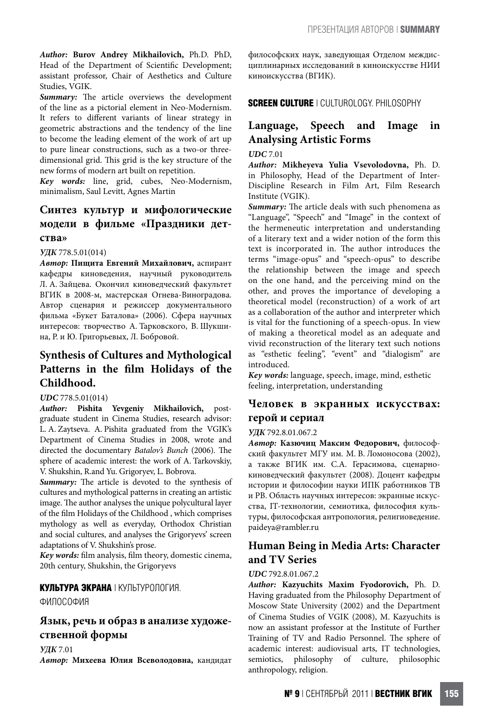**Author: Burov Andrey Mikhailovich,** Ph.D. PhD, Head of the Department of Scientific Development; assistant professor, Chair of Aesthetics and Culture Studies, VGIK.

Summary: The article overviews the development of the line as a pictorial element in Neo-Modernism. It refers to different variants of linear strategy in geometric abstractions and the tendency of the line to become the leading element of the work of art up to pure linear constructions, such as a two-or threedimensional grid. This grid is the key structure of the new forms of modern art built on repetition.

**Key words:** line, grid, cubes, Neo-Modernism, minimalism, Saul Levitt, Agnes Martin

# **Синтез культур и мифологические модели в фильме «Праздники детства»**

**УДК** 778.5.01(014)

**Автор: Пищита Евгений Михайлович,** аспирант кафедры киноведения, научный руководитель Л. А. Зайцева. Окончил киноведческий факультет ВГИК в 2008-м, мастерская Огнева-Виноградова. Автор сценария и режиссер документального фильма «Букет Баталова» (2006). Сфера научных интересов: творчество А. Тарковского, В. Шукшина, Р. и Ю. Григорьевых, Л. Бобровой.

# **Synthesis of Cultures and Mythological**  Patterns in the film Holidays of the **Childhood.**

### **UDC** 778.5.01(014)

**Author: Pishita Yevgeniy Mikhailovich,** postgraduate student in Cinema Studies, research advisor: L. A. Zaytseva. A. Pishita graduated from the VGIK's Department of Cinema Studies in 2008, wrote and directed the documentary Batalov's Bunch (2006). The sphere of academic interest: the work of A. Tarkovskiy, V. Shukshin, R.and Yu. Grigoryev, L. Bobrova.

Summary: The article is devoted to the synthesis of cultures and mythological patterns in creating an artistic image. The author analyses the unique polycultural layer of the Elm Holidays of the Childhood , which comprises mythology as well as everyday, Orthodox Christian and social cultures, and analyses the Grigoryevs' screen adaptations of V. Shukshin's prose.

Key words: film analysis, film theory, domestic cinema, 20th century, Shukshin, the Grigoryevs

### **КУЛЬТУРА ЭКРАНА** | КУЛЬТУРОЛОГИЯ.

ФИЛОСОФИЯ

## **Язык, речь и образ в анализе художественной формы**

**УДК** 7.01

**Автор: Михеева Юлия Всеволодовна,** кандидат

философских наук, заведующая Отделом междисциплинарных исследований в киноискусстве НИИ киноискусства (ВГИК).

**SCREEN CULTURE** | CULTUROLOGY. PHILOSOPHY

# **Language, Speech and Image in Analysing Artistic Forms**

**UDC** 7.01

**Author: Mikheyeva Yulia Vsevolodovna,** Ph. D. in Philosophy, Head of the Department of Inter-Discipline Research in Film Art, Film Research Institute (VGIK).

**Summary:** The article deals with such phenomena as "Language", "Speech" and "Image" in the context of the hermeneutic interpretation and understanding of a literary text and a wider notion of the form this text is incorporated in. The author introduces the terms "image-opus" and "speech-opus" to describe the relationship between the image and speech on the one hand, and the perceiving mind on the other, and proves the importance of developing a theoretical model (reconstruction) of a work of art as a collaboration of the author and interpreter which is vital for the functioning of a speech-opus. In view of making a theoretical model as an adequate and vivid reconstruction of the literary text such notions as "esthetic feeling", "event" and "dialogism" are introduced.

**Key words:** language, speech, image, mind, esthetic feeling, interpretation, understanding

## **Человек в экранных искусствах: герой и сериал**

### **УДК** 792.8.01.067.2

**Автор: Казючиц Максим Федорович,** философский факультет МГУ им. М. В. Ломоносова (2002), а также ВГИК им. С.А. Герасимова, сценарнокиноведческий факультет (2008). Доцент кафедры истории и философии науки ИПК работников ТВ и РВ. Область научных интересов: экранные искусства, IT-технологии, семиотика, философия культуры, философская антропология, религиоведение. paideya@rambler.ru

# **Human Being in Media Arts: Character and TV Series**

### **UDC** 792.8.01.067.2

**Author: Kazyuchits Maxim Fyodorovich,** Ph. D. Having graduated from the Philosophy Department of Moscow State University (2002) and the Department of Cinema Studies of VGIK (2008), M. Kazyuchits is now an assistant professor at the Institute of Further Training of TV and Radio Personnel. The sphere of academic interest: audiovisual arts, IT technologies, semiotics, philosophy of culture, philosophic anthropology, religion.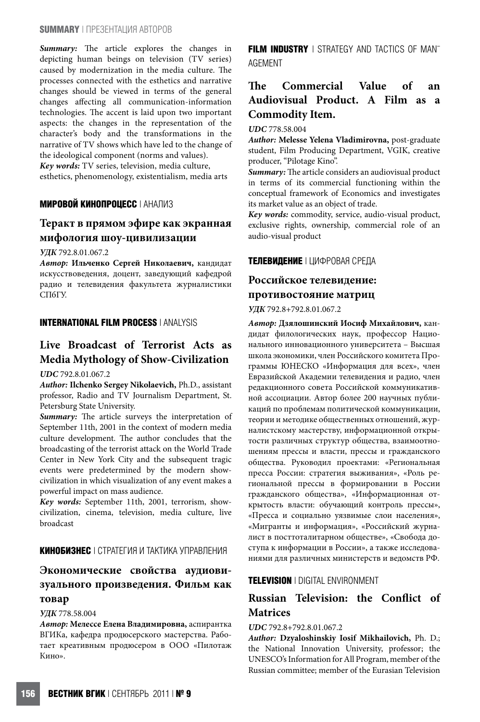Summary: The article explores the changes in depicting human beings on television (TV series) caused by modernization in the media culture. The processes connected with the esthetics and narrative changes should be viewed in terms of the general changes aHecting all communication-information technologies. The accent is laid upon two important aspects: the changes in the representation of the character's body and the transformations in the narrative of TV shows which have led to the change of the ideological component (norms and values). **Key words:** TV series, television, media culture,

esthetics, phenomenology, existentialism, media arts

## **МИРОВОЙ КИНОПРОЦЕСС** | АНАЛИЗ

## **Теракт в прямом эфире как экранная мифология шоу-цивилизации**

**УДК** 792.8.01.067.2

**Автор: Ильченко Сергей Николаевич,** кандидат искусствоведения, доцент, заведующий кафедрой радио и телевидения факультета журналистики СПбГУ.

## **INTERNATIONAL FILM PROCESS** | ANALYSIS

# **Live Broadcast of Terrorist Acts as Media Mythology of Show-Civilization**

#### **UDC** 792.8.01.067.2

**Author: Ilchenko Sergey Nikolaevich,** Ph.D., assistant professor, Radio and TV Journalism Department, St. Petersburg State University.

Summary: The article surveys the interpretation of September 11th, 2001 in the context of modern media culture development. The author concludes that the broadcasting of the terrorist attack on the World Trade Center in New York City and the subsequent tragic events were predetermined by the modern showcivilization in which visualization of any event makes a powerful impact on mass audience.

**Key words:** September 11th, 2001, terrorism, showcivilization, cinema, television, media culture, live broadcast

## **КИНОБИЗНЕС** | СТРАТЕГИЯ И ТАКТИКА УПРАВЛЕНИЯ

# **Экономические свойства аудиовизуального произведения. Фильм как товар**

### **УДК** 778.58.004

**Автор: Мелессе Елена Владимировна,** аспирантка ВГИКа, кафедра продюсерского мастерства. Работает креативным продюсером в ООО «Пилотаж Кино».

**FILM INDUSTRY** | STRATEGY AND TACTICS OF MAN-AGEMENT

# The Commercial Value of an **Audiovisual Product. A Film as a Commodity Item.**

**UDC** 778.58.004

**Author: Melesse Yelena Vladimirovna,** post-graduate student, Film Producing Department, VGIK, creative producer, "Pilotage Kino".

Summary: The article considers an audiovisual product in terms of its commercial functioning within the conceptual framework of Economics and investigates its market value as an object of trade.

**Key words:** commodity, service, audio-visual product, exclusive rights, ownership, commercial role of an audio-visual product

## **ТЕЛЕВИДЕНИЕ** | ЦИФРОВАЯ СРЕДА

## **Российское телевидение: противостояние матриц**

## **УДК** 792.8+792.8.01.067.2

**Автор: Дзялошинский Иосиф Михайлович,** кандидат филологических наук, профессор Национального инновационного университета – Высшая школа экономики, член Российского комитета Программы ЮНЕСКО «Информация для всех», член Евразийской Академии телевидения и радио, член редакционного совета Российской коммуникативной ассоциации. Автор более 200 научных публикаций по проблемам политической коммуникации, теории и методике общественных отношений, журналистскому мастерству, информационной открытости различных структур общества, взаимоотношениям прессы и власти, прессы и гражданского общества. Руководил проектами: «Региональная пресса России: стратегия выживания», «Роль региональной прессы в формировании в России гражданского общества», «Информационная открытость власти: обучающий контроль прессы», «Пресса и социально уязвимые слои населения», «Мигранты и информация», «Российский журналист в посттоталитарном обществе», «Свобода доступа к информации в России», а также исследованиями для различных министерств и ведомств РФ.

## **TELEVISION** | DIGITAL ENVIRONMENT

# **Russian Television: the Conflict of Matrices**

#### **UDC** 792.8+792.8.01.067.2

**Author: Dzyaloshinskiy Iosif Mikhailovich,** Ph. D.; the National Innovation University, professor; the UNESCO's Information for All Program, member of the Russian committee; member of the Eurasian Television